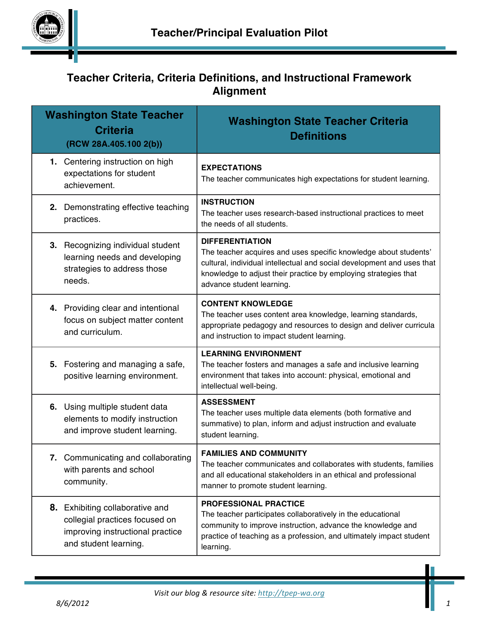

# **Teacher Criteria, Criteria Definitions, and Instructional Framework Alignment**

|                 | <b>Washington State Teacher</b><br><b>Criteria</b><br>(RCW 28A.405.100 2(b))                                                   | <b>Washington State Teacher Criteria</b><br><b>Definitions</b>                                                                                                                                                                                                       |
|-----------------|--------------------------------------------------------------------------------------------------------------------------------|----------------------------------------------------------------------------------------------------------------------------------------------------------------------------------------------------------------------------------------------------------------------|
| achievement.    | 1. Centering instruction on high<br>expectations for student                                                                   | <b>EXPECTATIONS</b><br>The teacher communicates high expectations for student learning.                                                                                                                                                                              |
| practices.      | 2. Demonstrating effective teaching                                                                                            | <b>INSTRUCTION</b><br>The teacher uses research-based instructional practices to meet<br>the needs of all students.                                                                                                                                                  |
| needs.          | 3. Recognizing individual student<br>learning needs and developing<br>strategies to address those                              | <b>DIFFERENTIATION</b><br>The teacher acquires and uses specific knowledge about students'<br>cultural, individual intellectual and social development and uses that<br>knowledge to adjust their practice by employing strategies that<br>advance student learning. |
| and curriculum. | 4. Providing clear and intentional<br>focus on subject matter content                                                          | <b>CONTENT KNOWLEDGE</b><br>The teacher uses content area knowledge, learning standards,<br>appropriate pedagogy and resources to design and deliver curricula<br>and instruction to impact student learning.                                                        |
| 5.              | Fostering and managing a safe,<br>positive learning environment.                                                               | <b>LEARNING ENVIRONMENT</b><br>The teacher fosters and manages a safe and inclusive learning<br>environment that takes into account: physical, emotional and<br>intellectual well-being.                                                                             |
|                 | 6. Using multiple student data<br>elements to modify instruction<br>and improve student learning.                              | <b>ASSESSMENT</b><br>The teacher uses multiple data elements (both formative and<br>summative) to plan, inform and adjust instruction and evaluate<br>student learning.                                                                                              |
| community.      | 7. Communicating and collaborating<br>with parents and school                                                                  | <b>FAMILIES AND COMMUNITY</b><br>The teacher communicates and collaborates with students, families<br>and all educational stakeholders in an ethical and professional<br>manner to promote student learning.                                                         |
|                 | 8. Exhibiting collaborative and<br>collegial practices focused on<br>improving instructional practice<br>and student learning. | PROFESSIONAL PRACTICE<br>The teacher participates collaboratively in the educational<br>community to improve instruction, advance the knowledge and<br>practice of teaching as a profession, and ultimately impact student<br>learning.                              |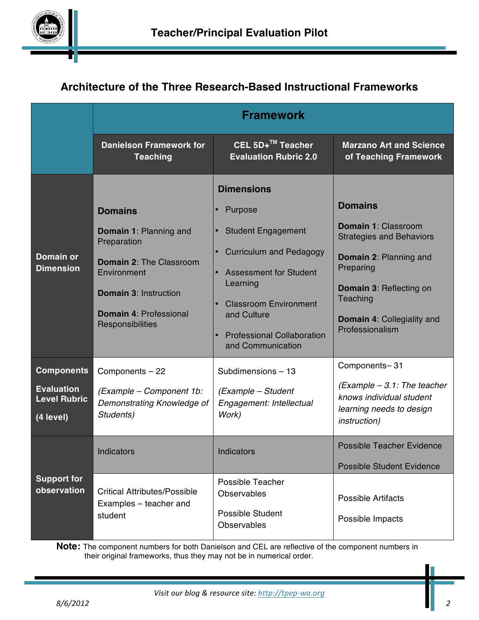

# **Architecture of the Three Research-Based Instructional Frameworks**

|                                                                            | <b>Framework</b>                                                                                                                                                                                     |                                                                                                                                                                                                                                                   |                                                                                                                                                                                                                              |
|----------------------------------------------------------------------------|------------------------------------------------------------------------------------------------------------------------------------------------------------------------------------------------------|---------------------------------------------------------------------------------------------------------------------------------------------------------------------------------------------------------------------------------------------------|------------------------------------------------------------------------------------------------------------------------------------------------------------------------------------------------------------------------------|
|                                                                            | <b>Danielson Framework for</b><br><b>Teaching</b>                                                                                                                                                    | CEL 5D+™ Teacher<br><b>Evaluation Rubric 2.0</b>                                                                                                                                                                                                  | <b>Marzano Art and Science</b><br>of Teaching Framework                                                                                                                                                                      |
| <b>Domain or</b><br><b>Dimension</b>                                       | <b>Domains</b><br><b>Domain 1: Planning and</b><br>Preparation<br><b>Domain 2: The Classroom</b><br>Environment<br><b>Domain 3: Instruction</b><br><b>Domain 4: Professional</b><br>Responsibilities | <b>Dimensions</b><br>Purpose<br><b>Student Engagement</b><br><b>Curriculum and Pedagogy</b><br><b>Assessment for Student</b><br>Learning<br><b>Classroom Environment</b><br>and Culture<br><b>Professional Collaboration</b><br>and Communication | <b>Domains</b><br><b>Domain 1: Classroom</b><br><b>Strategies and Behaviors</b><br><b>Domain 2: Planning and</b><br>Preparing<br><b>Domain 3: Reflecting on</b><br>Teaching<br>Domain 4: Collegiality and<br>Professionalism |
| <b>Components</b><br><b>Evaluation</b><br><b>Level Rubric</b><br>(4 level) | Components - 22<br>(Example - Component 1b:<br>Demonstrating Knowledge of<br>Students)                                                                                                               | Subdimensions-13<br>(Example - Student<br>Engagement: Intellectual<br>Work)                                                                                                                                                                       | Components-31<br>$(Example - 3.1)$ : The teacher<br>knows individual student<br>learning needs to design<br><i>instruction</i> )                                                                                             |
| <b>Support for</b><br>observation                                          | Indicators<br><b>Critical Attributes/Possible</b><br>Examples - teacher and<br>student                                                                                                               | Indicators<br><b>Possible Teacher</b><br>Observables<br>Possible Student<br>Observables                                                                                                                                                           | <b>Possible Teacher Evidence</b><br><b>Possible Student Evidence</b><br><b>Possible Artifacts</b><br>Possible Impacts                                                                                                        |

**Note:** The component numbers for both Danielson and CEL are reflective of the component numbers in their original frameworks, thus they may not be in numerical order.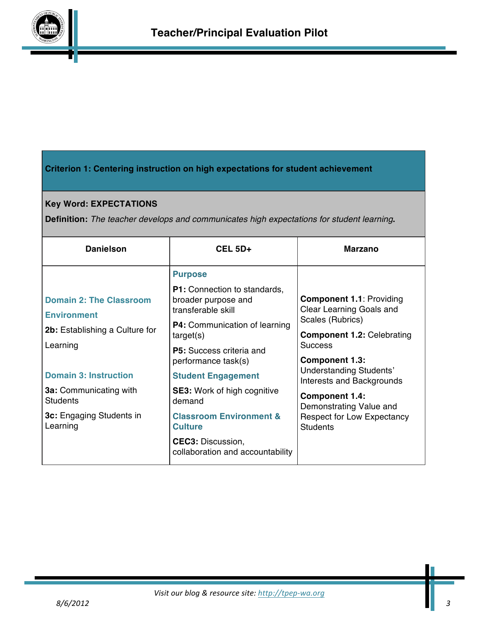

# **Criterion 1: Centering instruction on high expectations for student achievement**

# **Key Word: EXPECTATIONS**

**Definition:** *The teacher develops and communicates high expectations for student learning***.**

| <b>Danielson</b>                                     | <b>CEL 5D+</b>                                                                                                    | <b>Marzano</b>                                                                  |
|------------------------------------------------------|-------------------------------------------------------------------------------------------------------------------|---------------------------------------------------------------------------------|
|                                                      | <b>Purpose</b>                                                                                                    |                                                                                 |
| <b>Domain 2: The Classroom</b><br><b>Environment</b> | <b>P1:</b> Connection to standards,<br>broader purpose and<br>transferable skill<br>P4: Communication of learning | <b>Component 1.1: Providing</b><br>Clear Learning Goals and<br>Scales (Rubrics) |
| 2b: Establishing a Culture for                       | target(s)                                                                                                         | <b>Component 1.2: Celebrating</b>                                               |
| Learning                                             | <b>P5:</b> Success criteria and<br>performance task(s)                                                            | <b>Success</b><br><b>Component 1.3:</b>                                         |
| <b>Domain 3: Instruction</b>                         | <b>Student Engagement</b>                                                                                         | Understanding Students'<br>Interests and Backgrounds                            |
| <b>3a:</b> Communicating with<br><b>Students</b>     | <b>SE3:</b> Work of high cognitive<br>demand                                                                      | <b>Component 1.4:</b><br>Demonstrating Value and                                |
| 3c: Engaging Students in<br>Learning                 | <b>Classroom Environment &amp;</b><br><b>Culture</b>                                                              | <b>Respect for Low Expectancy</b><br><b>Students</b>                            |
|                                                      | <b>CEC3: Discussion,</b><br>collaboration and accountability                                                      |                                                                                 |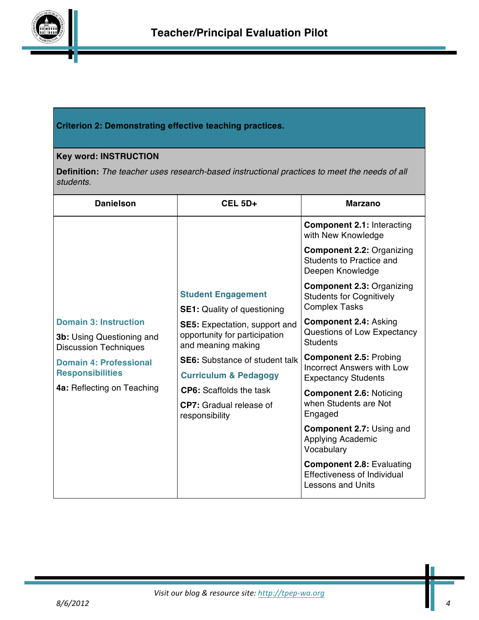

## **Criterion 2: Demonstrating effective teaching practices.**

## **Key word: INSTRUCTION**

**Definition:** *The teacher uses research-based instructional practices to meet the needs of all students.*

| <b>Danielson</b>                                                 | CEL <sub>5D+</sub>                                                                           | <b>Marzano</b>                                                                                     |
|------------------------------------------------------------------|----------------------------------------------------------------------------------------------|----------------------------------------------------------------------------------------------------|
|                                                                  |                                                                                              | <b>Component 2.1: Interacting</b><br>with New Knowledge                                            |
|                                                                  |                                                                                              | <b>Component 2.2: Organizing</b><br>Students to Practice and<br>Deepen Knowledge                   |
|                                                                  | <b>Student Engagement</b>                                                                    | <b>Component 2.3: Organizing</b><br><b>Students for Cognitively</b><br><b>Complex Tasks</b>        |
| <b>Domain 3: Instruction</b>                                     | <b>SE1:</b> Quality of questioning                                                           | <b>Component 2.4: Asking</b>                                                                       |
| <b>3b:</b> Using Questioning and<br><b>Discussion Techniques</b> | <b>SE5</b> : Expectation, support and<br>opportunity for participation<br>and meaning making | Questions of Low Expectancy<br><b>Students</b>                                                     |
| <b>Domain 4: Professional</b>                                    | <b>SE6:</b> Substance of student talk                                                        | <b>Component 2.5: Probing</b><br><b>Incorrect Answers with Low</b>                                 |
| <b>Responsibilities</b>                                          | <b>Curriculum &amp; Pedagogy</b>                                                             | <b>Expectancy Students</b>                                                                         |
| 4a: Reflecting on Teaching                                       | <b>CP6:</b> Scaffolds the task                                                               | <b>Component 2.6: Noticing</b>                                                                     |
|                                                                  | <b>CP7:</b> Gradual release of<br>responsibility                                             | when Students are Not<br>Engaged                                                                   |
|                                                                  |                                                                                              | <b>Component 2.7: Using and</b><br>Applying Academic<br>Vocabulary                                 |
|                                                                  |                                                                                              | <b>Component 2.8: Evaluating</b><br><b>Effectiveness of Individual</b><br><b>Lessons and Units</b> |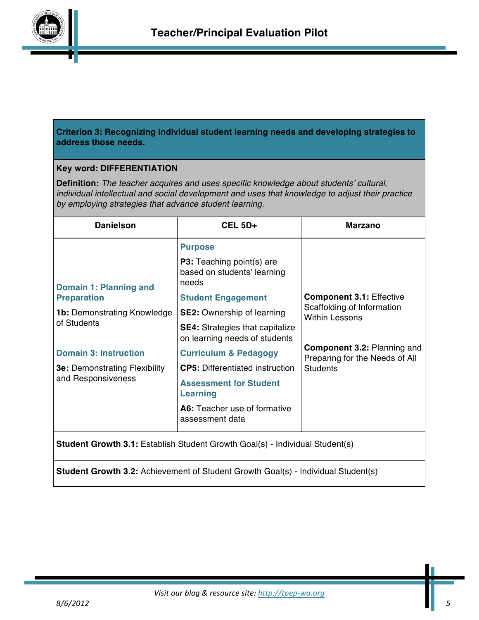

## **Criterion 3: Recognizing individual student learning needs and developing strategies to address those needs.**

### **Key word: DIFFERENTIATION**

**Definition:** *The teacher acquires and uses specific knowledge about students' cultural, individual intellectual and social development and uses that knowledge to adjust their practice by employing strategies that advance student learning.*

| <b>Danielson</b>                                                                    | <b>CEL 5D+</b>                                                           | <b>Marzano</b>                                                       |
|-------------------------------------------------------------------------------------|--------------------------------------------------------------------------|----------------------------------------------------------------------|
|                                                                                     | <b>Purpose</b>                                                           |                                                                      |
| Domain 1: Planning and                                                              | <b>P3:</b> Teaching point(s) are<br>based on students' learning<br>needs |                                                                      |
| <b>Preparation</b>                                                                  | <b>Student Engagement</b>                                                | <b>Component 3.1: Effective</b>                                      |
| <b>1b:</b> Demonstrating Knowledge                                                  | <b>SE2:</b> Ownership of learning                                        | Scaffolding of Information<br><b>Within Lessons</b>                  |
| of Students                                                                         | <b>SE4:</b> Strategies that capitalize<br>on learning needs of students  |                                                                      |
| <b>Domain 3: Instruction</b>                                                        | <b>Curriculum &amp; Pedagogy</b>                                         | <b>Component 3.2: Planning and</b><br>Preparing for the Needs of All |
| <b>3e: Demonstrating Flexibility</b>                                                | <b>CP5:</b> Differentiated instruction                                   | <b>Students</b>                                                      |
| and Responsiveness                                                                  | <b>Assessment for Student</b><br><b>Learning</b>                         |                                                                      |
|                                                                                     | A6: Teacher use of formative<br>assessment data                          |                                                                      |
| <b>Student Growth 3.1:</b> Establish Student Growth Goal(s) - Individual Student(s) |                                                                          |                                                                      |

**Student Growth 3.2:** Achievement of Student Growth Goal(s) - Individual Student(s)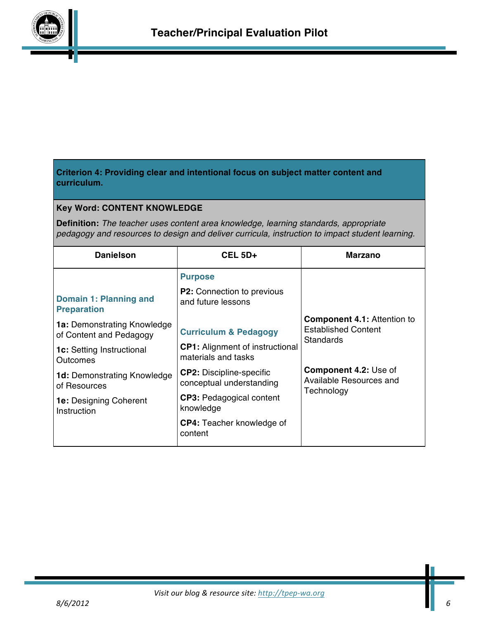

## **Criterion 4: Providing clear and intentional focus on subject matter content and curriculum.**

## **Key Word: CONTENT KNOWLEDGE**

**Definition:** *The teacher uses content area knowledge, learning standards, appropriate pedagogy and resources to design and deliver curricula, instruction to impact student learning.*

| <b>Danielson</b>                                              | $CEL$ 5D+                                                     | <b>Marzano</b>                                                                |
|---------------------------------------------------------------|---------------------------------------------------------------|-------------------------------------------------------------------------------|
|                                                               | <b>Purpose</b>                                                |                                                                               |
| Domain 1: Planning and<br><b>Preparation</b>                  | <b>P2:</b> Connection to previous<br>and future lessons       |                                                                               |
| <b>1a: Demonstrating Knowledge</b><br>of Content and Pedagogy | <b>Curriculum &amp; Pedagogy</b>                              | <b>Component 4.1: Attention to</b><br><b>Established Content</b><br>Standards |
| <b>1c:</b> Setting Instructional<br>Outcomes                  | <b>CP1:</b> Alignment of instructional<br>materials and tasks |                                                                               |
| <b>1d: Demonstrating Knowledge</b><br>of Resources            | <b>CP2:</b> Discipline-specific<br>conceptual understanding   | <b>Component 4.2: Use of</b><br>Available Resources and<br>Technology         |
| <b>1e: Designing Coherent</b><br>Instruction                  | <b>CP3: Pedagogical content</b><br>knowledge                  |                                                                               |
|                                                               | <b>CP4:</b> Teacher knowledge of<br>content                   |                                                                               |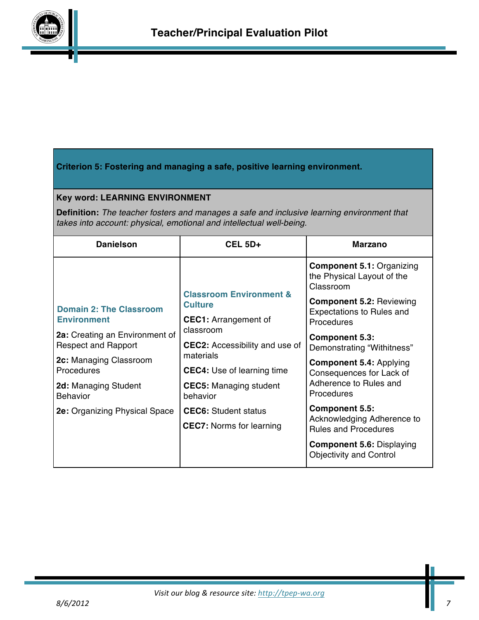

## **Criterion 5: Fostering and managing a safe, positive learning environment.**

#### **Key word: LEARNING ENVIRONMENT**

**Definition:** *The teacher fosters and manages a safe and inclusive learning environment that takes into account: physical, emotional and intellectual well-being.*

| <b>Danielson</b>                                                                                                                                                                                                                         | $CEL 5D+$                                                                                                                                                                                                                                                                                                  | <b>Marzano</b>                                                                                                                                                                                                                                                                                                                                                                                             |
|------------------------------------------------------------------------------------------------------------------------------------------------------------------------------------------------------------------------------------------|------------------------------------------------------------------------------------------------------------------------------------------------------------------------------------------------------------------------------------------------------------------------------------------------------------|------------------------------------------------------------------------------------------------------------------------------------------------------------------------------------------------------------------------------------------------------------------------------------------------------------------------------------------------------------------------------------------------------------|
|                                                                                                                                                                                                                                          |                                                                                                                                                                                                                                                                                                            | <b>Component 5.1: Organizing</b><br>the Physical Layout of the<br>Classroom                                                                                                                                                                                                                                                                                                                                |
| <b>Domain 2: The Classroom</b><br><b>Environment</b><br>2a: Creating an Environment of<br><b>Respect and Rapport</b><br>2c: Managing Classroom<br>Procedures<br>2d: Managing Student<br><b>Behavior</b><br>2e: Organizing Physical Space | <b>Classroom Environment &amp;</b><br><b>Culture</b><br><b>CEC1:</b> Arrangement of<br>classroom<br><b>CEC2:</b> Accessibility and use of<br>materials<br><b>CEC4:</b> Use of learning time<br><b>CEC5:</b> Managing student<br>behavior<br><b>CEC6:</b> Student status<br><b>CEC7:</b> Norms for learning | <b>Component 5.2: Reviewing</b><br><b>Expectations to Rules and</b><br>Procedures<br><b>Component 5.3:</b><br>Demonstrating "Withitness"<br><b>Component 5.4: Applying</b><br>Consequences for Lack of<br>Adherence to Rules and<br>Procedures<br><b>Component 5.5:</b><br>Acknowledging Adherence to<br><b>Rules and Procedures</b><br><b>Component 5.6: Displaying</b><br><b>Objectivity and Control</b> |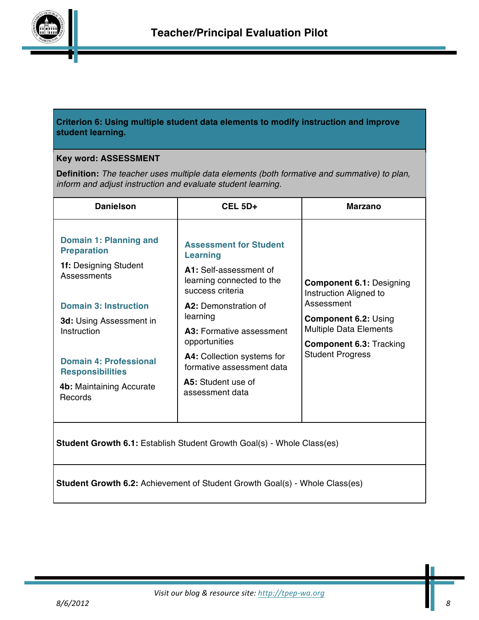

#### **Criterion 6: Using multiple student data elements to modify instruction and improve student learning.**

#### **Key word: ASSESSMENT**

**Definition:** *The teacher uses multiple data elements (both formative and summative) to plan, inform and adjust instruction and evaluate student learning.*

| <b>Danielson</b>                                                                                                                                                                                                                                                                                                                                                                  | <b>CEL 5D+</b>                                                                                                              | <b>Marzano</b>                                                                                                                          |
|-----------------------------------------------------------------------------------------------------------------------------------------------------------------------------------------------------------------------------------------------------------------------------------------------------------------------------------------------------------------------------------|-----------------------------------------------------------------------------------------------------------------------------|-----------------------------------------------------------------------------------------------------------------------------------------|
| Domain 1: Planning and<br><b>Preparation</b><br>1f: Designing Student<br>Assessments                                                                                                                                                                                                                                                                                              | <b>Assessment for Student</b><br><b>Learning</b><br>A1: Self-assessment of<br>learning connected to the<br>success criteria | <b>Component 6.1: Designing</b><br>Instruction Aligned to                                                                               |
| <b>Domain 3: Instruction</b><br>3d: Using Assessment in<br>Instruction                                                                                                                                                                                                                                                                                                            | A2: Demonstration of<br>learning<br><b>A3:</b> Formative assessment<br>opportunities                                        | Assessment<br><b>Component 6.2: Using</b><br><b>Multiple Data Elements</b><br><b>Component 6.3: Tracking</b><br><b>Student Progress</b> |
| <b>Domain 4: Professional</b><br><b>Responsibilities</b><br>4b: Maintaining Accurate<br>Records                                                                                                                                                                                                                                                                                   | A4: Collection systems for<br>formative assessment data<br>A5: Student use of<br>assessment data                            |                                                                                                                                         |
| $\bigcap$ $\bigcap$ $\bigcap$ $\bigcap$ $\bigcap$ $\bigcap$ $\bigcap$ $\bigcap$ $\bigcap$ $\bigcap$ $\bigcap$ $\bigcap$ $\bigcap$ $\bigcap$ $\bigcap$ $\bigcap$ $\bigcap$ $\bigcap$ $\bigcap$ $\bigcap$ $\bigcap$ $\bigcap$ $\bigcap$ $\bigcap$ $\bigcap$ $\bigcap$ $\bigcap$ $\bigcap$ $\bigcap$ $\bigcap$ $\bigcap$ $\bigcap$ $\bigcap$ $\bigcap$ $\bigcap$ $\bigcap$ $\bigcap$ |                                                                                                                             |                                                                                                                                         |

**Student Growth 6.1:** Establish Student Growth Goal(s) - Whole Class(es)

**Student Growth 6.2:** Achievement of Student Growth Goal(s) - Whole Class(es)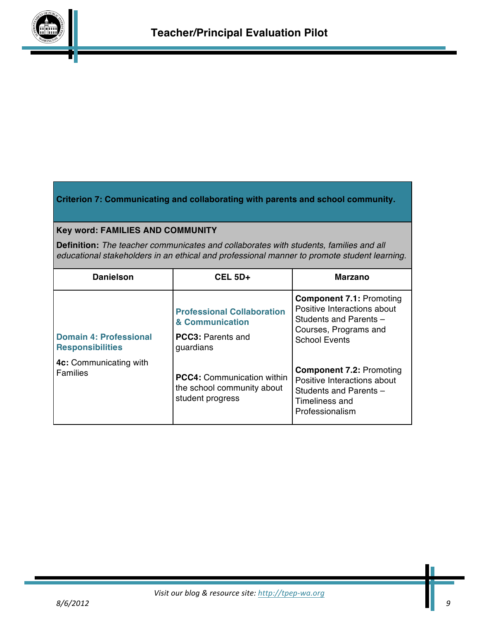

### **Criterion 7: Communicating and collaborating with parents and school community.**

### **Key word: FAMILIES AND COMMUNITY**

**Definition:** *The teacher communicates and collaborates with students, families and all educational stakeholders in an ethical and professional manner to promote student learning.*

| <b>Danielson</b>                                         | $CEL$ 5D+                                                                                     | <b>Marzano</b>                                                                                                                            |
|----------------------------------------------------------|-----------------------------------------------------------------------------------------------|-------------------------------------------------------------------------------------------------------------------------------------------|
| <b>Domain 4: Professional</b><br><b>Responsibilities</b> | <b>Professional Collaboration</b><br>& Communication<br><b>PCC3: Parents and</b><br>guardians | <b>Component 7.1: Promoting</b><br>Positive Interactions about<br>Students and Parents -<br>Courses, Programs and<br><b>School Events</b> |
| 4c: Communicating with<br><b>Families</b>                | <b>PCC4: Communication within</b><br>the school community about<br>student progress           | <b>Component 7.2: Promoting</b><br>Positive Interactions about<br>Students and Parents -<br>Timeliness and<br>Professionalism             |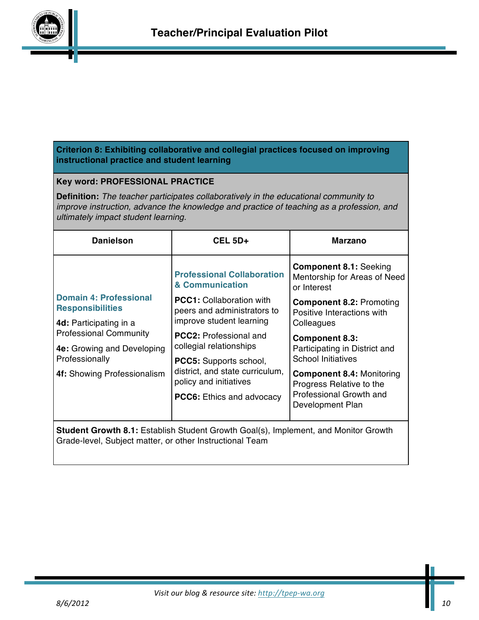

### **Criterion 8: Exhibiting collaborative and collegial practices focused on improving instructional practice and student learning**

### **Key word: PROFESSIONAL PRACTICE**

**Definition:** *The teacher participates collaboratively in the educational community to improve instruction, advance the knowledge and practice of teaching as a profession, and ultimately impact student learning.*

| <b>Danielson</b>                                                                                                                                       | <b>CEL 5D+</b>                                                                            | Marzano                                                                             |
|--------------------------------------------------------------------------------------------------------------------------------------------------------|-------------------------------------------------------------------------------------------|-------------------------------------------------------------------------------------|
|                                                                                                                                                        | <b>Professional Collaboration</b><br>& Communication                                      | <b>Component 8.1: Seeking</b><br>Mentorship for Areas of Need<br>or Interest        |
| Domain 4: Professional<br><b>Responsibilities</b>                                                                                                      | <b>PCC1:</b> Collaboration with<br>peers and administrators to                            | <b>Component 8.2: Promoting</b><br>Positive Interactions with                       |
| 4d: Participating in a                                                                                                                                 | improve student learning                                                                  | Colleagues                                                                          |
| <b>Professional Community</b><br>4e: Growing and Developing<br>Professionally                                                                          | <b>PCC2: Professional and</b><br>collegial relationships<br><b>PCC5:</b> Supports school, | <b>Component 8.3:</b><br>Participating in District and<br><b>School Initiatives</b> |
| 4f: Showing Professionalism                                                                                                                            | district, and state curriculum,<br>policy and initiatives                                 | <b>Component 8.4: Monitoring</b><br>Progress Relative to the                        |
|                                                                                                                                                        | <b>PCC6:</b> Ethics and advocacy                                                          | Professional Growth and<br>Development Plan                                         |
| <b>Student Growth 8.1:</b> Establish Student Growth Goal(s), Implement, and Monitor Growth<br>Grade-level, Subject matter, or other Instructional Team |                                                                                           |                                                                                     |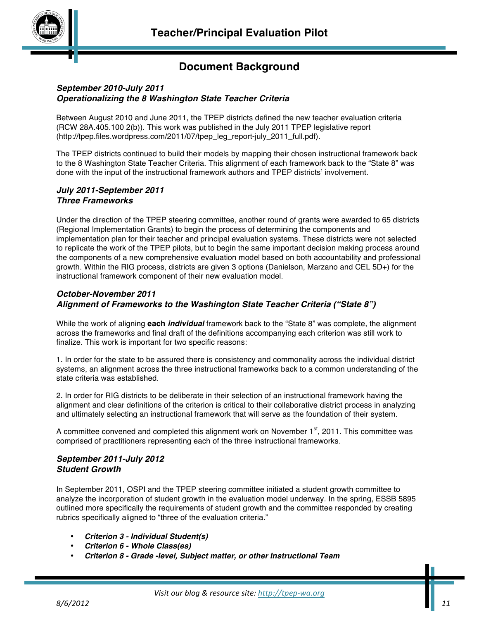# **Document Background**

#### *September 2010-July 2011 Operationalizing the 8 Washington State Teacher Criteria*

Between August 2010 and June 2011, the TPEP districts defined the new teacher evaluation criteria (RCW 28A.405.100 2(b)). This work was published in the July 2011 TPEP legislative report (http://tpep.files.wordpress.com/2011/07/tpep\_leg\_report-july\_2011\_full.pdf).

The TPEP districts continued to build their models by mapping their chosen instructional framework back to the 8 Washington State Teacher Criteria. This alignment of each framework back to the "State 8" was done with the input of the instructional framework authors and TPEP districts' involvement.

#### *July 2011-September 2011 Three Frameworks*

Under the direction of the TPEP steering committee, another round of grants were awarded to 65 districts (Regional Implementation Grants) to begin the process of determining the components and implementation plan for their teacher and principal evaluation systems. These districts were not selected to replicate the work of the TPEP pilots, but to begin the same important decision making process around the components of a new comprehensive evaluation model based on both accountability and professional growth. Within the RIG process, districts are given 3 options (Danielson, Marzano and CEL 5D+) for the instructional framework component of their new evaluation model.

#### *October-November 2011 Alignment of Frameworks to the Washington State Teacher Criteria ("State 8")*

While the work of aligning **each** *individual* framework back to the "State 8" was complete, the alignment across the frameworks and final draft of the definitions accompanying each criterion was still work to finalize. This work is important for two specific reasons:

1. In order for the state to be assured there is consistency and commonality across the individual district systems, an alignment across the three instructional frameworks back to a common understanding of the state criteria was established.

2. In order for RIG districts to be deliberate in their selection of an instructional framework having the alignment and clear definitions of the criterion is critical to their collaborative district process in analyzing and ultimately selecting an instructional framework that will serve as the foundation of their system.

A committee convened and completed this alignment work on November  $1<sup>st</sup>$ , 2011. This committee was comprised of practitioners representing each of the three instructional frameworks.

#### *September 2011-July 2012 Student Growth*

In September 2011, OSPI and the TPEP steering committee initiated a student growth committee to analyze the incorporation of student growth in the evaluation model underway. In the spring, ESSB 5895 outlined more specifically the requirements of student growth and the committee responded by creating rubrics specifically aligned to "three of the evaluation criteria."

- *Criterion 3 - Individual Student(s)*
- *Criterion 6 - Whole Class(es)*
- *Criterion 8 - Grade -level, Subject matter, or other Instructional Team*